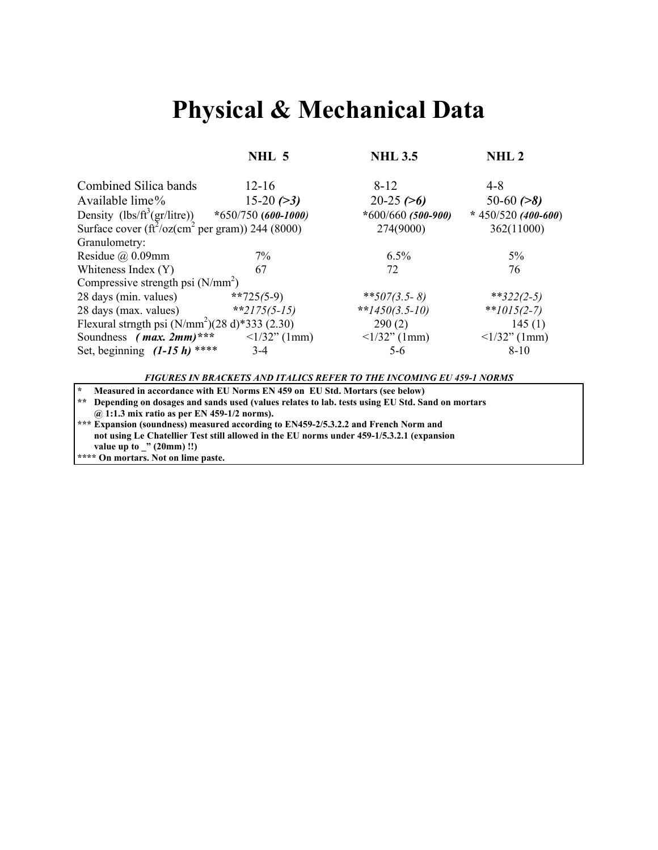## **Physical & Mechanical Data**

**NHL 5 NHL 3.5 NHL 2** 

| Combined Silica bands                                                     | $12 - 16$              | $8 - 12$               | 4-8                    |  |
|---------------------------------------------------------------------------|------------------------|------------------------|------------------------|--|
| Available lime%                                                           | $15-20(>3)$            | $20-25 (>6)$           | 50-60 $(>8)$           |  |
| Density (lbs/ft <sup>3</sup> (gr/litre)) *650/750 (600-1000)              |                        | * $600/660$ (500-900)  | * 450/520 (400-600)    |  |
| Surface cover $(\text{ft}^2/\text{oz}(cm^2 \text{ per gram}))$ 244 (8000) |                        | 274(9000)              | 362(11000)             |  |
| Granulometry:                                                             |                        |                        |                        |  |
| Residue $\omega$ 0.09mm                                                   | $7\%$                  | $6.5\%$                | 5%                     |  |
| Whiteness Index (Y)                                                       | 67                     | 72                     | 76                     |  |
| Compressive strength psi $(N/mm2)$                                        |                        |                        |                        |  |
| 28 days (min. values)                                                     | **725(5-9)             | **507(3.5-8)           | ** $322(2-5)$          |  |
| 28 days (max. values)                                                     | **2175(5-15)           | ** $1450(3.5-10)$      | ** $1015(2-7)$         |  |
| Flexural strngth psi $(N/mm2)(28 d)*333 (2.30)$                           |                        | 290(2)                 | 145(1)                 |  |
| Soundness ( <i>max. 2mm</i> )***                                          | $\langle 1/32$ " (1mm) | $\langle 1/32$ " (1mm) | $\langle 1/32$ " (1mm) |  |
| Set, beginning $(1-15 h)$ ****                                            | $3-4$                  | $5-6$                  | $8 - 10$               |  |

*FIGURES IN BRACKETS AND ITALICS REFER TO THE INCOMING EU 459-1 NORMS*

**\* Measured in accordance with EU Norms EN 459 on EU Std. Mortars (see below)**

**\*\* Depending on dosages and sands used (values relates to lab. tests using EU Std. Sand on mortars @ 1:1.3 mix ratio as per EN 459-1/2 norms).**

**\*\*\* Expansion (soundness) measured according to EN459-2/5.3.2.2 and French Norm and not using Le Chatellier Test still allowed in the EU norms under 459-1/5.3.2.1 (expansion value up to \_" (20mm) !!)**

**\*\*\*\* On mortars. Not on lime paste.**